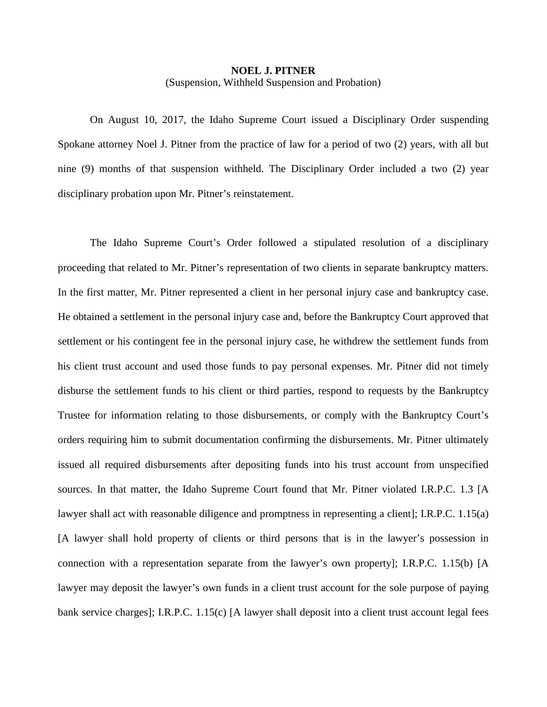## **NOEL J. PITNER** (Suspension, Withheld Suspension and Probation)

On August 10, 2017, the Idaho Supreme Court issued a Disciplinary Order suspending Spokane attorney Noel J. Pitner from the practice of law for a period of two (2) years, with all but nine (9) months of that suspension withheld. The Disciplinary Order included a two (2) year disciplinary probation upon Mr. Pitner's reinstatement.

The Idaho Supreme Court's Order followed a stipulated resolution of a disciplinary proceeding that related to Mr. Pitner's representation of two clients in separate bankruptcy matters. In the first matter, Mr. Pitner represented a client in her personal injury case and bankruptcy case. He obtained a settlement in the personal injury case and, before the Bankruptcy Court approved that settlement or his contingent fee in the personal injury case, he withdrew the settlement funds from his client trust account and used those funds to pay personal expenses. Mr. Pitner did not timely disburse the settlement funds to his client or third parties, respond to requests by the Bankruptcy Trustee for information relating to those disbursements, or comply with the Bankruptcy Court's orders requiring him to submit documentation confirming the disbursements. Mr. Pitner ultimately issued all required disbursements after depositing funds into his trust account from unspecified sources. In that matter, the Idaho Supreme Court found that Mr. Pitner violated I.R.P.C. 1.3 [A lawyer shall act with reasonable diligence and promptness in representing a client]; I.R.P.C. 1.15(a) [A lawyer shall hold property of clients or third persons that is in the lawyer's possession in connection with a representation separate from the lawyer's own property]; I.R.P.C. 1.15(b) [A lawyer may deposit the lawyer's own funds in a client trust account for the sole purpose of paying bank service charges]; I.R.P.C. 1.15(c) [A lawyer shall deposit into a client trust account legal fees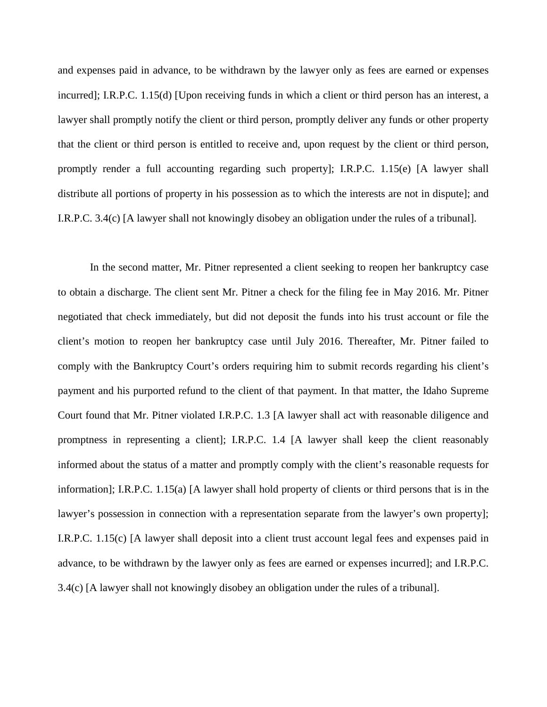and expenses paid in advance, to be withdrawn by the lawyer only as fees are earned or expenses incurred]; I.R.P.C. 1.15(d) [Upon receiving funds in which a client or third person has an interest, a lawyer shall promptly notify the client or third person, promptly deliver any funds or other property that the client or third person is entitled to receive and, upon request by the client or third person, promptly render a full accounting regarding such property]; I.R.P.C. 1.15(e) [A lawyer shall distribute all portions of property in his possession as to which the interests are not in dispute]; and I.R.P.C. 3.4(c) [A lawyer shall not knowingly disobey an obligation under the rules of a tribunal].

In the second matter, Mr. Pitner represented a client seeking to reopen her bankruptcy case to obtain a discharge. The client sent Mr. Pitner a check for the filing fee in May 2016. Mr. Pitner negotiated that check immediately, but did not deposit the funds into his trust account or file the client's motion to reopen her bankruptcy case until July 2016. Thereafter, Mr. Pitner failed to comply with the Bankruptcy Court's orders requiring him to submit records regarding his client's payment and his purported refund to the client of that payment. In that matter, the Idaho Supreme Court found that Mr. Pitner violated I.R.P.C. 1.3 [A lawyer shall act with reasonable diligence and promptness in representing a client]; I.R.P.C. 1.4 [A lawyer shall keep the client reasonably informed about the status of a matter and promptly comply with the client's reasonable requests for information]; I.R.P.C. 1.15(a) [A lawyer shall hold property of clients or third persons that is in the lawyer's possession in connection with a representation separate from the lawyer's own property]; I.R.P.C. 1.15(c) [A lawyer shall deposit into a client trust account legal fees and expenses paid in advance, to be withdrawn by the lawyer only as fees are earned or expenses incurred]; and I.R.P.C. 3.4(c) [A lawyer shall not knowingly disobey an obligation under the rules of a tribunal].